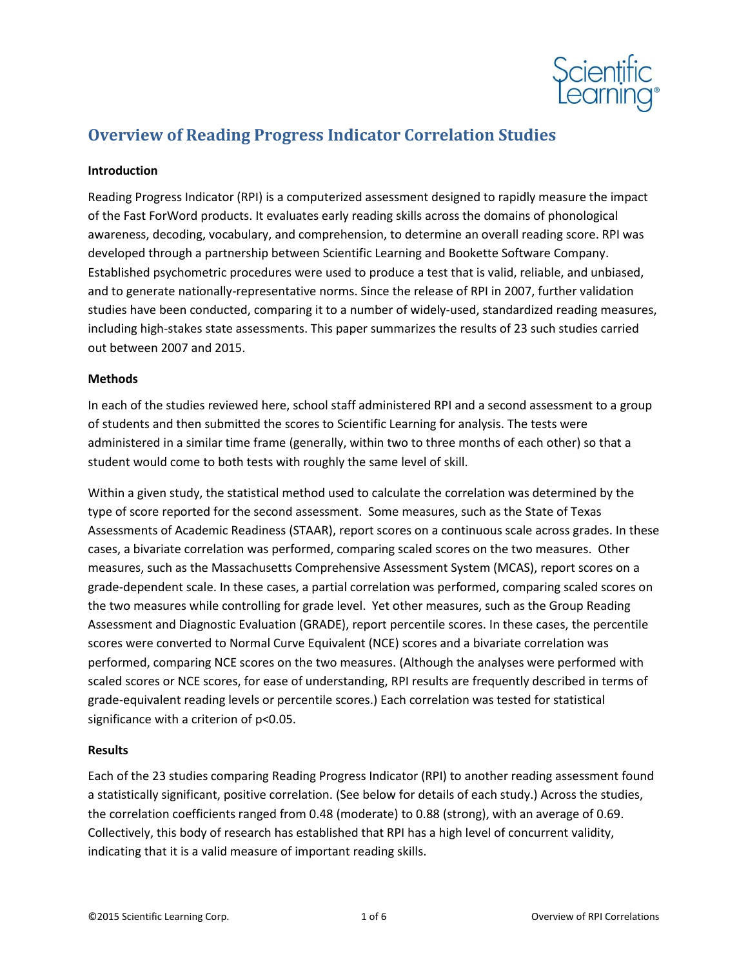

# **Overview of Reading Progress Indicator Correlation Studies**

### **Introduction**

Reading Progress Indicator (RPI) is a computerized assessment designed to rapidly measure the impact of the Fast ForWord products. It evaluates early reading skills across the domains of phonological awareness, decoding, vocabulary, and comprehension, to determine an overall reading score. RPI was developed through a partnership between Scientific Learning and Bookette Software Company. Established psychometric procedures were used to produce a test that is valid, reliable, and unbiased, and to generate nationally-representative norms. Since the release of RPI in 2007, further validation studies have been conducted, comparing it to a number of widely-used, standardized reading measures, including high-stakes state assessments. This paper summarizes the results of 23 such studies carried out between 2007 and 2015.

## **Methods**

In each of the studies reviewed here, school staff administered RPI and a second assessment to a group of students and then submitted the scores to Scientific Learning for analysis. The tests were administered in a similar time frame (generally, within two to three months of each other) so that a student would come to both tests with roughly the same level of skill.

Within a given study, the statistical method used to calculate the correlation was determined by the type of score reported for the second assessment. Some measures, such as the State of Texas Assessments of Academic Readiness (STAAR), report scores on a continuous scale across grades. In these cases, a bivariate correlation was performed, comparing scaled scores on the two measures. Other measures, such as the Massachusetts Comprehensive Assessment System (MCAS), report scores on a grade-dependent scale. In these cases, a partial correlation was performed, comparing scaled scores on the two measures while controlling for grade level. Yet other measures, such as the Group Reading Assessment and Diagnostic Evaluation (GRADE), report percentile scores. In these cases, the percentile scores were converted to Normal Curve Equivalent (NCE) scores and a bivariate correlation was performed, comparing NCE scores on the two measures. (Although the analyses were performed with scaled scores or NCE scores, for ease of understanding, RPI results are frequently described in terms of grade-equivalent reading levels or percentile scores.) Each correlation was tested for statistical significance with a criterion of p<0.05.

#### **Results**

Each of the 23 studies comparing Reading Progress Indicator (RPI) to another reading assessment found a statistically significant, positive correlation. (See below for details of each study.) Across the studies, the correlation coefficients ranged from 0.48 (moderate) to 0.88 (strong), with an average of 0.69. Collectively, this body of research has established that RPI has a high level of concurrent validity, indicating that it is a valid measure of important reading skills.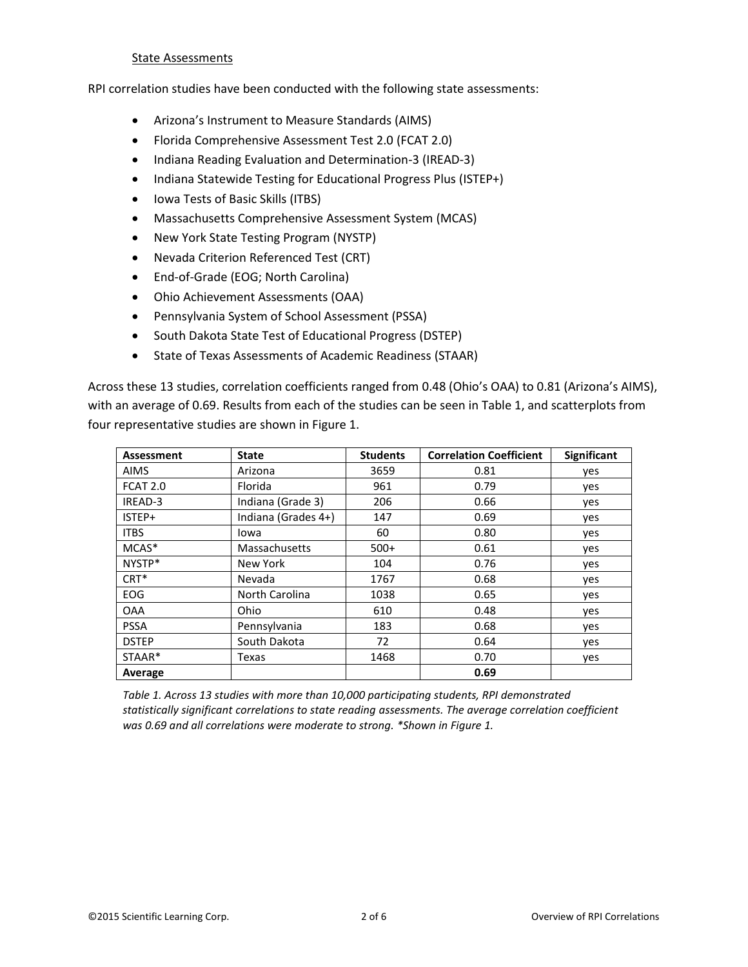#### State Assessments

RPI correlation studies have been conducted with the following state assessments:

- Arizona's Instrument to Measure Standards (AIMS)
- Florida Comprehensive Assessment Test 2.0 (FCAT 2.0)
- Indiana Reading Evaluation and Determination-3 (IREAD-3)
- Indiana Statewide Testing for Educational Progress Plus (ISTEP+)
- Iowa Tests of Basic Skills (ITBS)
- Massachusetts Comprehensive Assessment System (MCAS)
- New York State Testing Program (NYSTP)
- Nevada Criterion Referenced Test (CRT)
- End-of-Grade (EOG; North Carolina)
- Ohio Achievement Assessments (OAA)
- Pennsylvania System of School Assessment (PSSA)
- South Dakota State Test of Educational Progress (DSTEP)
- State of Texas Assessments of Academic Readiness (STAAR)

Across these 13 studies, correlation coefficients ranged from 0.48 (Ohio's OAA) to 0.81 (Arizona's AIMS), with an average of 0.69. Results from each of the studies can be seen in Table 1, and scatterplots from four representative studies are shown in Figure 1.

| Assessment       | <b>State</b>        | <b>Students</b> | <b>Correlation Coefficient</b> | <b>Significant</b> |
|------------------|---------------------|-----------------|--------------------------------|--------------------|
| <b>AIMS</b>      | Arizona             | 3659            | 0.81                           | yes                |
| <b>FCAT 2.0</b>  | Florida             | 961             | 0.79                           | yes                |
| IREAD-3          | Indiana (Grade 3)   | 206             | 0.66                           | yes                |
| ISTEP+           | Indiana (Grades 4+) | 147             | 0.69                           | yes                |
| <b>ITBS</b>      | Iowa                | 60              | 0.80                           | yes                |
| MCAS*            | Massachusetts       | $500+$          | 0.61                           | yes                |
| NYSTP*           | New York            | 104             | 0.76                           | ves                |
| CRT <sup>*</sup> | Nevada              | 1767            | 0.68                           | yes                |
| EOG              | North Carolina      | 1038            | 0.65                           | ves                |
| <b>OAA</b>       | Ohio                | 610             | 0.48                           | yes                |
| <b>PSSA</b>      | Pennsylvania        | 183             | 0.68                           | yes                |
| <b>DSTEP</b>     | South Dakota        | 72              | 0.64                           | yes                |
| STAAR*           | Texas               | 1468            | 0.70                           | yes                |
| Average          |                     |                 | 0.69                           |                    |

*Table 1. Across 13 studies with more than 10,000 participating students, RPI demonstrated statistically significant correlations to state reading assessments. The average correlation coefficient was 0.69 and all correlations were moderate to strong. \*Shown in Figure 1.*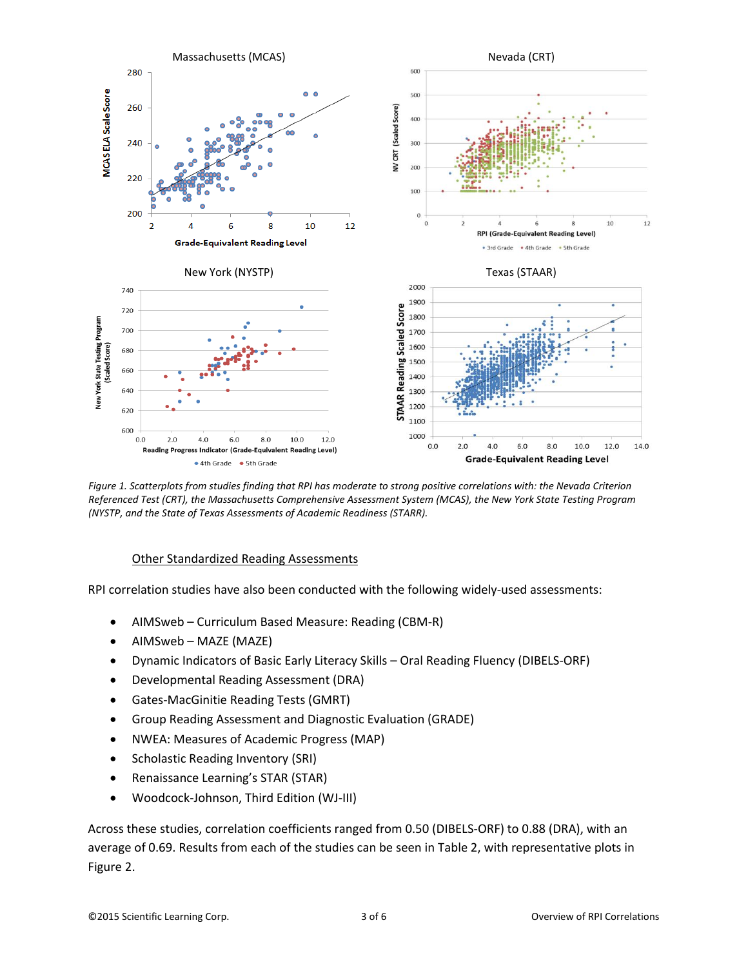

*Figure 1. Scatterplots from studies finding that RPI has moderate to strong positive correlations with: the Nevada Criterion Referenced Test (CRT), the Massachusetts Comprehensive Assessment System (MCAS), the New York State Testing Program (NYSTP, and the State of Texas Assessments of Academic Readiness (STARR).*

#### Other Standardized Reading Assessments

RPI correlation studies have also been conducted with the following widely-used assessments:

- AIMSweb Curriculum Based Measure: Reading (CBM-R)
- AIMSweb MAZE (MAZE)
- Dynamic Indicators of Basic Early Literacy Skills Oral Reading Fluency (DIBELS-ORF)
- Developmental Reading Assessment (DRA)
- Gates-MacGinitie Reading Tests (GMRT)
- Group Reading Assessment and Diagnostic Evaluation (GRADE)
- NWEA: Measures of Academic Progress (MAP)
- Scholastic Reading Inventory (SRI)
- Renaissance Learning's STAR (STAR)
- Woodcock-Johnson, Third Edition (WJ-III)

Across these studies, correlation coefficients ranged from 0.50 (DIBELS-ORF) to 0.88 (DRA), with an average of 0.69. Results from each of the studies can be seen in Table 2, with representative plots in Figure 2.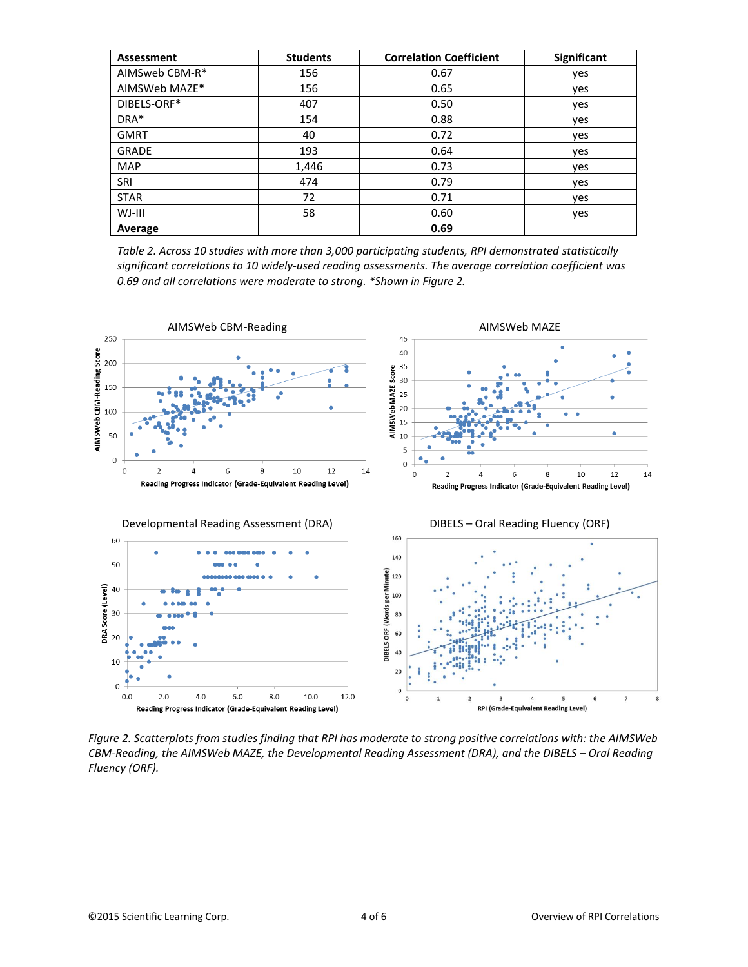| <b>Assessment</b> | <b>Students</b> | <b>Correlation Coefficient</b> | Significant |
|-------------------|-----------------|--------------------------------|-------------|
| AIMSweb CBM-R*    | 156             | 0.67                           | yes         |
| AIMSWeb MAZE*     | 156             | 0.65                           | yes         |
| DIBELS-ORF*       | 407             | 0.50                           | yes         |
| DRA*              | 154             | 0.88                           | yes         |
| <b>GMRT</b>       | 40              | 0.72                           | yes         |
| <b>GRADE</b>      | 193             | 0.64                           | yes         |
| <b>MAP</b>        | 1,446           | 0.73                           | yes         |
| SRI               | 474             | 0.79                           | yes         |
| <b>STAR</b>       | 72              | 0.71                           | yes         |
| WJ-III            | 58              | 0.60                           | yes         |
| Average           |                 | 0.69                           |             |

*Table 2. Across 10 studies with more than 3,000 participating students, RPI demonstrated statistically significant correlations to 10 widely-used reading assessments. The average correlation coefficient was 0.69 and all correlations were moderate to strong. \*Shown in Figure 2.*



*Figure 2. Scatterplots from studies finding that RPI has moderate to strong positive correlations with: the AIMSWeb CBM-Reading, the AIMSWeb MAZE, the Developmental Reading Assessment (DRA), and the DIBELS – Oral Reading Fluency (ORF).*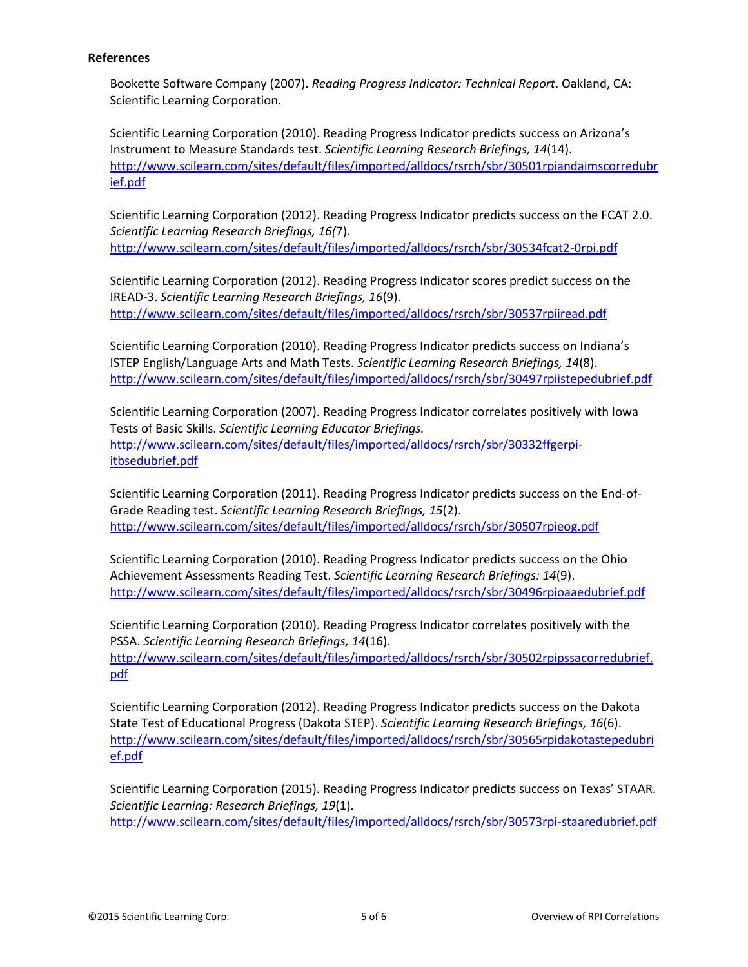## **References**

Bookette Software Company (2007). *Reading Progress Indicator: Technical Report*. Oakland, CA: Scientific Learning Corporation.

Scientific Learning Corporation (2010). Reading Progress Indicator predicts success on Arizona's Instrument to Measure Standards test. *Scientific Learning Research Briefings, 14*(14). [http://www.scilearn.com/sites/default/files/imported/alldocs/rsrch/sbr/30501rpiandaimscorredubr](http://www.scilearn.com/sites/default/files/imported/alldocs/rsrch/sbr/30501rpiandaimscorredubrief.pdf) [ief.pdf](http://www.scilearn.com/sites/default/files/imported/alldocs/rsrch/sbr/30501rpiandaimscorredubrief.pdf)

Scientific Learning Corporation (2012). Reading Progress Indicator predicts success on the FCAT 2.0. *Scientific Learning Research Briefings, 16(*7). <http://www.scilearn.com/sites/default/files/imported/alldocs/rsrch/sbr/30534fcat2-0rpi.pdf>

Scientific Learning Corporation (2012). Reading Progress Indicator scores predict success on the IREAD-3. *Scientific Learning Research Briefings, 16*(9). <http://www.scilearn.com/sites/default/files/imported/alldocs/rsrch/sbr/30537rpiiread.pdf>

Scientific Learning Corporation (2010). Reading Progress Indicator predicts success on Indiana's ISTEP English/Language Arts and Math Tests. *Scientific Learning Research Briefings, 14*(8). <http://www.scilearn.com/sites/default/files/imported/alldocs/rsrch/sbr/30497rpiistepedubrief.pdf>

Scientific Learning Corporation (2007). Reading Progress Indicator correlates positively with Iowa Tests of Basic Skills. *Scientific Learning Educator Briefings.* [http://www.scilearn.com/sites/default/files/imported/alldocs/rsrch/sbr/30332ffgerpi](http://www.scilearn.com/sites/default/files/imported/alldocs/rsrch/sbr/30332ffgerpi-itbsedubrief.pdf)[itbsedubrief.pdf](http://www.scilearn.com/sites/default/files/imported/alldocs/rsrch/sbr/30332ffgerpi-itbsedubrief.pdf)

Scientific Learning Corporation (2011). Reading Progress Indicator predicts success on the End-of-Grade Reading test. *Scientific Learning Research Briefings, 15*(2). <http://www.scilearn.com/sites/default/files/imported/alldocs/rsrch/sbr/30507rpieog.pdf>

Scientific Learning Corporation (2010). Reading Progress Indicator predicts success on the Ohio Achievement Assessments Reading Test. *Scientific Learning Research Briefings: 14*(9). <http://www.scilearn.com/sites/default/files/imported/alldocs/rsrch/sbr/30496rpioaaedubrief.pdf>

Scientific Learning Corporation (2010). Reading Progress Indicator correlates positively with the PSSA. *Scientific Learning Research Briefings, 14*(16). [http://www.scilearn.com/sites/default/files/imported/alldocs/rsrch/sbr/30502rpipssacorredubrief.](http://www.scilearn.com/sites/default/files/imported/alldocs/rsrch/sbr/30502rpipssacorredubrief.pdf) [pdf](http://www.scilearn.com/sites/default/files/imported/alldocs/rsrch/sbr/30502rpipssacorredubrief.pdf)

Scientific Learning Corporation (2012). Reading Progress Indicator predicts success on the Dakota State Test of Educational Progress (Dakota STEP). *Scientific Learning Research Briefings, 16*(6). [http://www.scilearn.com/sites/default/files/imported/alldocs/rsrch/sbr/30565rpidakotastepedubri](http://www.scilearn.com/sites/default/files/imported/alldocs/rsrch/sbr/30565rpidakotastepedubrief.pdf) [ef.pdf](http://www.scilearn.com/sites/default/files/imported/alldocs/rsrch/sbr/30565rpidakotastepedubrief.pdf)

Scientific Learning Corporation (2015). Reading Progress Indicator predicts success on Texas' STAAR. *Scientific Learning: Research Briefings, 19*(1). <http://www.scilearn.com/sites/default/files/imported/alldocs/rsrch/sbr/30573rpi-staaredubrief.pdf>